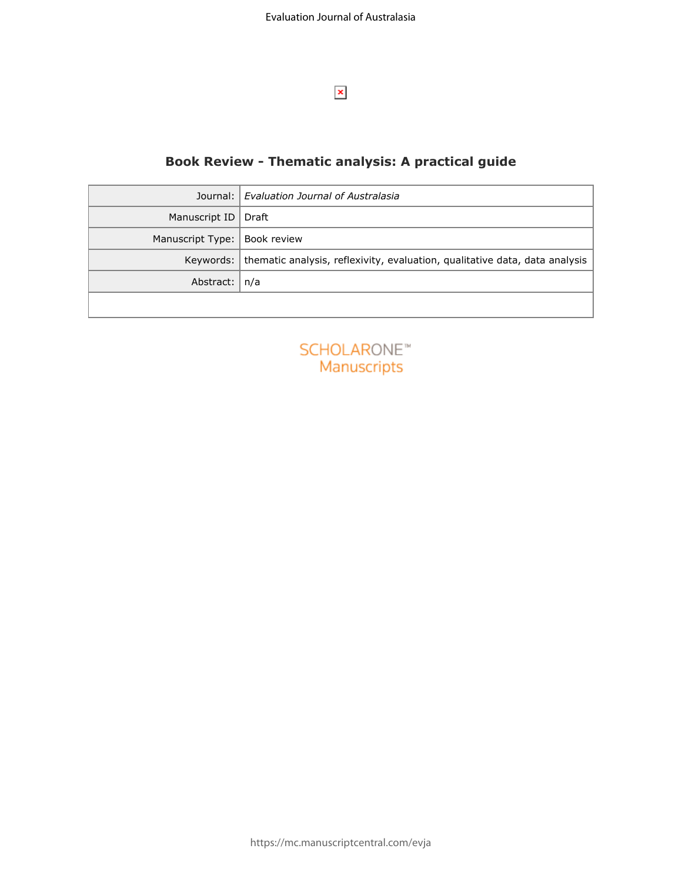

## **Book Review - Thematic analysis: A practical guide**

| Journal:           | Evaluation Journal of Australasia                                           |
|--------------------|-----------------------------------------------------------------------------|
| Manuscript ID      | Draft                                                                       |
| Manuscript Type:   | Book review                                                                 |
| Keywords:          | thematic analysis, reflexivity, evaluation, qualitative data, data analysis |
| Abstract:          | n/a                                                                         |
|                    |                                                                             |
|                    |                                                                             |
| <b>SCHOLARONE™</b> |                                                                             |
| Manuscripts        |                                                                             |
|                    |                                                                             |
|                    |                                                                             |
|                    |                                                                             |
|                    |                                                                             |
|                    |                                                                             |
|                    |                                                                             |
|                    |                                                                             |
|                    |                                                                             |
|                    |                                                                             |
|                    |                                                                             |

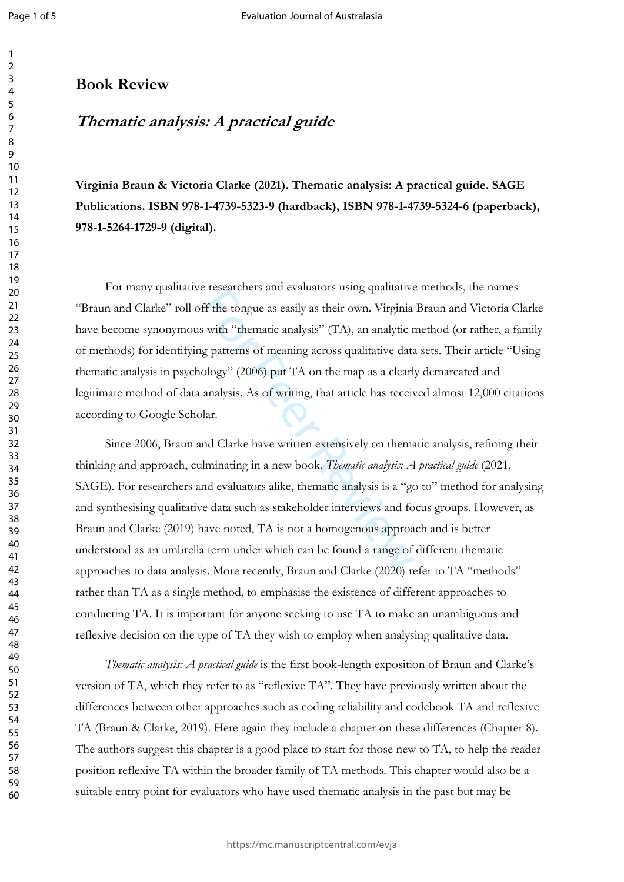$\mathbf{1}$ 

### **Book Review**

# *Thematic analysis: A practical guide*

**Virginia Braun & Victoria Clarke (2021). Thematic analysis: A practical guide. SAGE Publications. ISBN 978-1-4739-5323-9 (hardback), ISBN 978-1-4739-5324-6 (paperback), 978-1-5264-1729-9 (digital).**

For many qualitative researchers and evaluators using qualitative methods, the names "Braun and Clarke" roll off the tongue as easily as their own. Virginia Braun and Victoria Clarke have become synonymous with "thematic analysis" (TA), an analytic method (or rather, a family of methods) for identifying patterns of meaning across qualitative data sets. Their article "Using thematic analysis in psychology" (2006) put TA on the map as a clearly demarcated and legitimate method of data analysis. As of writing, that article has received almost 12,000 citations according to Google Scholar.

It is used to a case of the tongue as easily as their own. Virginia<br>s with "thematic analysis" (TA), an analytic regnate and the tongue of meaning across qualitative data<br>ology" (2006) put TA on the map as a clearl<br>analysi Since 2006, Braun and Clarke have written extensively on thematic analysis, refining their thinking and approach, culminating in a new book, *Thematic analysis: A practical guide* (2021, SAGE). For researchers and evaluators alike, thematic analysis is a "go to" method for analysing and synthesising qualitative data such as stakeholder interviews and focus groups. However, as Braun and Clarke (2019) have noted, TA is not a homogenous approach and is better understood as an umbrella term under which can be found a range of different thematic approaches to data analysis. More recently, Braun and Clarke (2020) refer to TA "methods" rather than TA as a single method, to emphasise the existence of different approaches to conducting TA. It is important for anyone seeking to use TA to make an unambiguous and reflexive decision on the type of TA they wish to employ when analysing qualitative data.

*Thematic analysis: A practical guide* is the first book-length exposition of Braun and Clarke's version of TA, which they refer to as "reflexive TA". They have previously written about the differences between other approaches such as coding reliability and codebook TA and reflexive TA (Braun & Clarke, 2019). Here again they include a chapter on these differences (Chapter 8). The authors suggest this chapter is a good place to start for those new to TA, to help the reader position reflexive TA within the broader family of TA methods. This chapter would also be a suitable entry point for evaluators who have used thematic analysis in the past but may be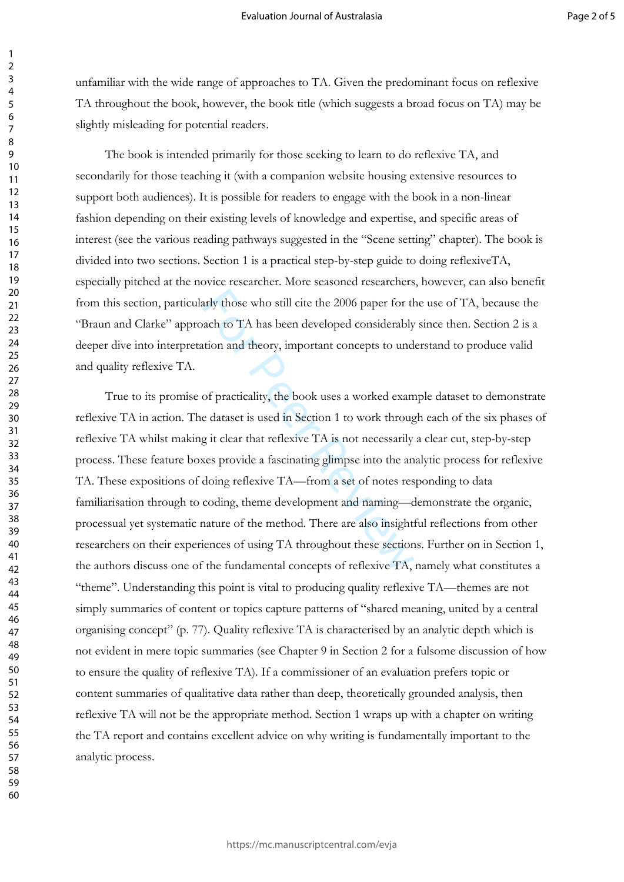unfamiliar with the wide range of approaches to TA. Given the predominant focus on reflexive TA throughout the book, however, the book title (which suggests a broad focus on TA) may be slightly misleading for potential readers.

The book is intended primarily for those seeking to learn to do reflexive TA, and secondarily for those teaching it (with a companion website housing extensive resources to support both audiences). It is possible for readers to engage with the book in a non-linear fashion depending on their existing levels of knowledge and expertise, and specific areas of interest (see the various reading pathways suggested in the "Scene setting" chapter). The book is divided into two sections. Section 1 is a practical step-by-step guide to doing reflexiveTA, especially pitched at the novice researcher. More seasoned researchers, however, can also benefit from this section, particularly those who still cite the 2006 paper for the use of TA, because the "Braun and Clarke" approach to TA has been developed considerably since then. Section 2 is a deeper dive into interpretation and theory, important concepts to understand to produce valid and quality reflexive TA.

arly those who still cite the 2006 paper for the<br>vach to TA has been developed considerably<br>tution and theory, important concepts to und<br>of practicality, the book uses a worked exam<br>e dataset is used in Section 1 to work t True to its promise of practicality, the book uses a worked example dataset to demonstrate reflexive TA in action. The dataset is used in Section 1 to work through each of the six phases of reflexive TA whilst making it clear that reflexive TA is not necessarily a clear cut, step-by-step process. These feature boxes provide a fascinating glimpse into the analytic process for reflexive TA. These expositions of doing reflexive TA—from a set of notes responding to data familiarisation through to coding, theme development and naming—demonstrate the organic, processual yet systematic nature of the method. There are also insightful reflections from other researchers on their experiences of using TA throughout these sections. Further on in Section 1, the authors discuss one of the fundamental concepts of reflexive TA, namely what constitutes a "theme". Understanding this point is vital to producing quality reflexive TA—themes are not simply summaries of content or topics capture patterns of "shared meaning, united by a central organising concept" (p. 77). Quality reflexive TA is characterised by an analytic depth which is not evident in mere topic summaries (see Chapter 9 in Section 2 for a fulsome discussion of how to ensure the quality of reflexive TA). If a commissioner of an evaluation prefers topic or content summaries of qualitative data rather than deep, theoretically grounded analysis, then reflexive TA will not be the appropriate method. Section 1 wraps up with a chapter on writing the TA report and contains excellent advice on why writing is fundamentally important to the analytic process.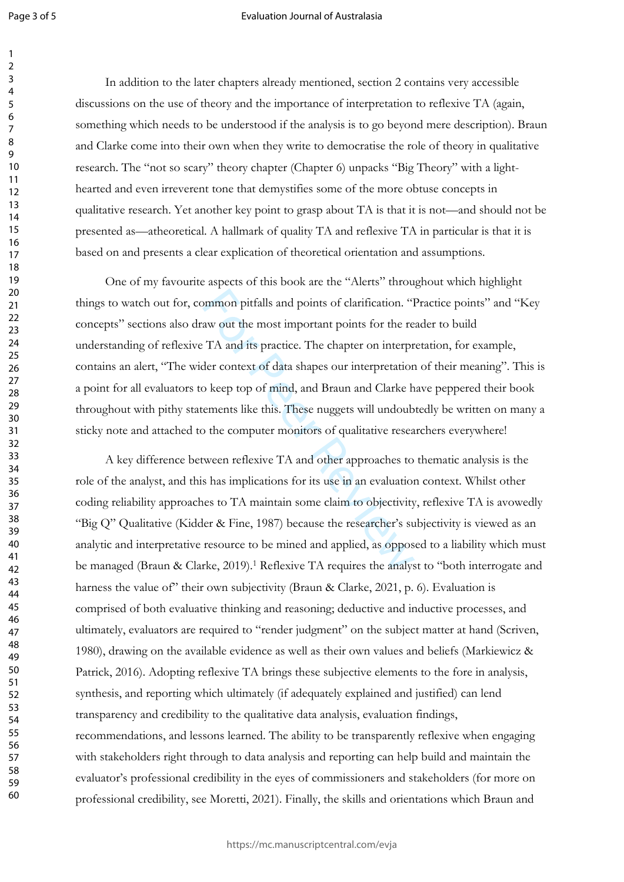123456789

 $\mathbf{1}$  $\overline{2}$  $\overline{3}$  $\overline{4}$ 5 6  $\overline{7}$ 8  $\mathsf q$ 

#### Evaluation Journal of Australasia

In addition to the later chapters already mentioned, section 2 contains very accessible discussions on the use of theory and the importance of interpretation to reflexive TA (again, something which needs to be understood if the analysis is to go beyond mere description). Braun and Clarke come into their own when they write to democratise the role of theory in qualitative research. The "not so scary" theory chapter (Chapter 6) unpacks "Big Theory" with a lighthearted and even irreverent tone that demystifies some of the more obtuse concepts in qualitative research. Yet another key point to grasp about TA is that it is not—and should not be presented as—atheoretical. A hallmark of quality TA and reflexive TA in particular is that it is based on and presents a clear explication of theoretical orientation and assumptions.

by points of clarification. "<br>The aw out the most important points for the re<br>The and its practice. The chapter on interpretation<br>of keep top of mind, and Braun and Clarke he<br>mements like this. These nuggets will undoub<br>of One of my favourite aspects of this book are the "Alerts" throughout which highlight things to watch out for, common pitfalls and points of clarification. "Practice points" and "Key concepts" sections also draw out the most important points for the reader to build understanding of reflexive TA and its practice. The chapter on interpretation, for example, contains an alert, "The wider context of data shapes our interpretation of their meaning". This is a point for all evaluators to keep top of mind, and Braun and Clarke have peppered their book throughout with pithy statements like this. These nuggets will undoubtedly be written on many a sticky note and attached to the computer monitors of qualitative researchers everywhere!

A key difference between reflexive TA and other approaches to thematic analysis is the role of the analyst, and this has implications for its use in an evaluation context. Whilst other coding reliability approaches to TA maintain some claim to objectivity, reflexive TA is avowedly "Big Q" Qualitative (Kidder & Fine, 1987) because the researcher's subjectivity is viewed as an analytic and interpretative resource to be mined and applied, as opposed to a liability which must be managed (Braun & Clarke, 2019).<sup>1</sup> Reflexive TA requires the analyst to "both interrogate and harness the value of" their own subjectivity (Braun & Clarke, 2021, p. 6). Evaluation is comprised of both evaluative thinking and reasoning; deductive and inductive processes, and ultimately, evaluators are required to "render judgment" on the subject matter at hand (Scriven, 1980), drawing on the available evidence as well as their own values and beliefs (Markiewicz & Patrick, 2016). Adopting reflexive TA brings these subjective elements to the fore in analysis, synthesis, and reporting which ultimately (if adequately explained and justified) can lend transparency and credibility to the qualitative data analysis, evaluation findings, recommendations, and lessons learned. The ability to be transparently reflexive when engaging with stakeholders right through to data analysis and reporting can help build and maintain the evaluator's professional credibility in the eyes of commissioners and stakeholders (for more on professional credibility, see Moretti, 2021). Finally, the skills and orientations which Braun and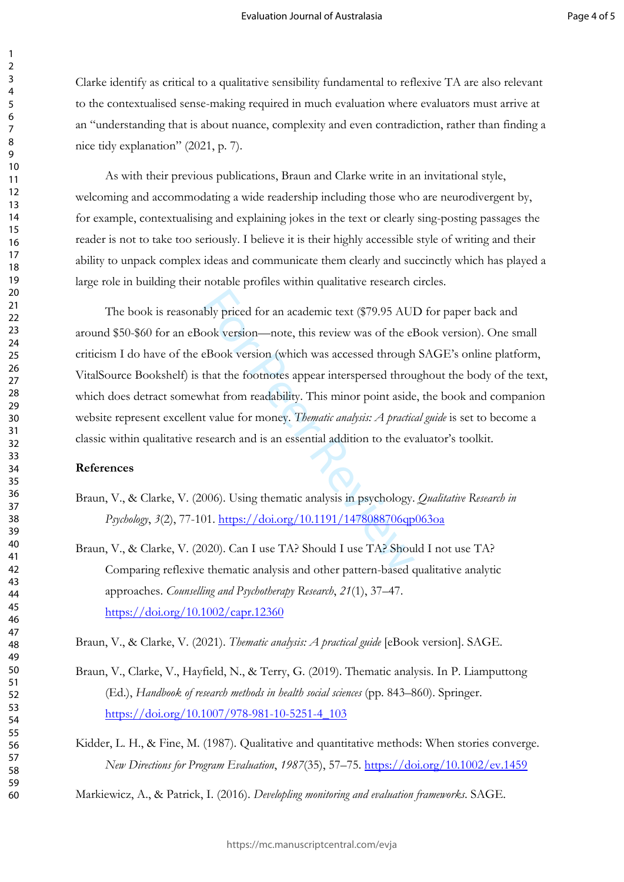Clarke identify as critical to a qualitative sensibility fundamental to reflexive TA are also relevant to the contextualised sense-making required in much evaluation where evaluators must arrive at an "understanding that is about nuance, complexity and even contradiction, rather than finding a nice tidy explanation" (2021, p. 7).

As with their previous publications, Braun and Clarke write in an invitational style, welcoming and accommodating a wide readership including those who are neurodivergent by, for example, contextualising and explaining jokes in the text or clearly sing-posting passages the reader is not to take too seriously. I believe it is their highly accessible style of writing and their ability to unpack complex ideas and communicate them clearly and succinctly which has played a large role in building their notable profiles within qualitative research circles.

bly priced for an academic text (\$79.95 AU)<br>ook version—note, this review was of the el<br>eBook version (which was accessed through<br>that the footnotes appear interspersed through<br>that from readability. This minor point aside The book is reasonably priced for an academic text (\$79.95 AUD for paper back and around \$50-\$60 for an eBook version—note, this review was of the eBook version). One small criticism I do have of the eBook version (which was accessed through SAGE's online platform, VitalSource Bookshelf) is that the footnotes appear interspersed throughout the body of the text, which does detract somewhat from readability. This minor point aside, the book and companion website represent excellent value for money. *Thematic analysis: A practical guide* is set to become a classic within qualitative research and is an essential addition to the evaluator's toolkit.

#### **References**

- Braun, V., & Clarke, V. (2006). Using thematic analysis in psychology. *Qualitative Research in Psychology*, *3*(2), 77-101.<https://doi.org/10.1191/1478088706qp063oa>
- Braun, V., & Clarke, V. (2020). Can I use TA? Should I use TA? Should I not use TA? Comparing reflexive thematic analysis and other pattern-based qualitative analytic approaches. *Counselling and Psychotherapy Research*, *21*(1), 37–47. <https://doi.org/10.1002/capr.12360>

Braun, V., & Clarke, V. (2021). *Thematic analysis: A practical guide* [eBook version]. SAGE.

- Braun, V., Clarke, V., Hayfield, N., & Terry, G. (2019). Thematic analysis. In P. Liamputtong (Ed.), *Handbook of research methods in health social sciences* (pp. 843–860). Springer. [https://doi.org/10.1007/978-981-10-5251-4\\_103](https://doi.org/10.1007/978-981-10-5251-4_103)
- Kidder, L. H., & Fine, M. (1987). Qualitative and quantitative methods: When stories converge. *New Directions for Program Evaluation*, *1987*(35), 57–75. <https://doi.org/10.1002/ev.1459>
- Markiewicz, A., & Patrick, I. (2016). *Developling monitoring and evaluation frameworks*. SAGE.